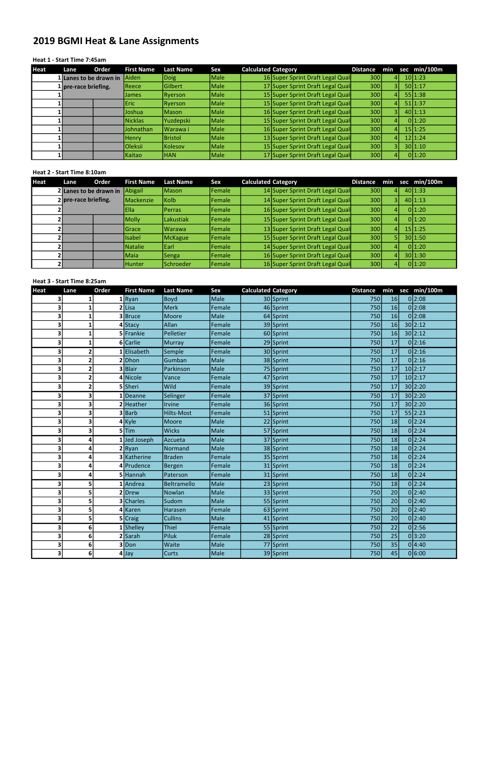# 2019 BGMI Heat & Lane Assignments

## Heat 1 - Start Time 7:45am

## Heat 2 - Start Time 8:10am

#### Heat 3 - Start Time 8:25am

| Heat | Lane                           | Order | <b>First Name</b> | <b>Last Name</b> | Sex  | <b>Calculated Category</b> |                                  | <b>Distance</b> | min | sec min/100m |
|------|--------------------------------|-------|-------------------|------------------|------|----------------------------|----------------------------------|-----------------|-----|--------------|
|      | $1$  Lanes to be drawn in $\,$ |       | <b>LAiden</b>     | Doig             | Male |                            | 16 Super Sprint Draft Legal Qual | 300             |     | 10 1:23      |
|      | $1$ pre-race briefing.         |       | Reece             | Gilbert          | Male |                            | 17 Super Sprint Draft Legal Qual | 300             |     | 50 1:17      |
|      |                                |       | IJames            | Ryerson          | Male |                            | 15 Super Sprint Draft Legal Qual | 300             |     | 55 1:38      |
|      |                                |       | lEric l           | Ryerson          | Male |                            | 15 Super Sprint Draft Legal Qual | 300             |     | 51 1:37      |
|      |                                |       | Joshua            | Mason            | Male |                            | 16 Super Sprint Draft Legal Qual | 300             |     | 40 1:13      |
|      |                                |       | Nicklas           | Yuzdepski        | Male |                            | 15 Super Sprint Draft Legal Qual | 300             |     | 0 1:20       |
|      |                                |       | Johnathan         | lWarawa i        | Male |                            | 16 Super Sprint Draft Legal Qual | 300             |     | 15 1:25      |
|      |                                |       | Henry             | <b>Bristol</b>   | Male |                            | 13 Super Sprint Draft Legal Qual | 300             |     | 12 1:24      |
|      |                                |       | <b>Oleksii</b>    | Kolesov          | Male |                            | 15 Super Sprint Draft Legal Qual | 300             |     | 30 1:10      |
|      |                                |       | Kaitao            | <b>HAN</b>       | Male |                            | 17 Super Sprint Draft Legal Qual | 300             | 41  | 0 1:20       |

| Heat | Lane                           | Order | <b>First Name</b> | <b>Last Name</b>  | Sex     | <b>Calculated Category</b> |                                  | <b>Distance</b> | min | sec min/100m |
|------|--------------------------------|-------|-------------------|-------------------|---------|----------------------------|----------------------------------|-----------------|-----|--------------|
|      | 2 Lanes to be drawn in Abigail |       |                   | Mason             | Female  |                            | 14 Super Sprint Draft Legal Qual | 300             |     | 40 1:33      |
|      | $2$ pre-race briefing.         |       | Mackenzie         | Kolb <sup>l</sup> | lFemale |                            | 14 Super Sprint Draft Legal Qual | 300             |     | 40 1:13      |
|      |                                |       | Ella              | <b>Perras</b>     | Female  |                            | 16 Super Sprint Draft Legal Qual | 300             |     | 0 1:20       |
|      |                                |       | Molly             | Lakustiak         | Female  |                            | 15 Super Sprint Draft Legal Qual | 300             |     | 0 1:20       |
|      |                                |       | <b>IGrace</b>     | l Warawa          | lFemale |                            | 13 Super Sprint Draft Legal Qual | 300             |     | 15 1:25      |
|      |                                |       | <b>Isabel</b>     | McKague           | Female  |                            | 15 Super Sprint Draft Legal Qual | 300             |     | 30 1:50      |
|      |                                |       | Natalie           | Earl              | Female  |                            | 14 Super Sprint Draft Legal Qual | 300             |     | 0 1:20       |
|      |                                |       | Maia              | <b>Senga</b>      | Female  |                            | 16 Super Sprint Draft Legal Qual | 300             |     | 30 1:30      |
|      |                                |       | Hunter            | Schroeder         | Female  |                            | 16 Super Sprint Draft Legal Qual | 300             |     | 0 1:20       |

| <b>Heat</b>  | Lane                    | Order | <b>First Name</b> | <b>Last Name</b> | <b>Sex</b> | <b>Calculated Category</b> |           | <b>Distance</b> |    | min sec min/100m |
|--------------|-------------------------|-------|-------------------|------------------|------------|----------------------------|-----------|-----------------|----|------------------|
|              | 1                       |       | $1$ Ryan          | <b>Boyd</b>      | Male       |                            | 30 Sprint | 750             | 16 | 0 2:08           |
| 3            | $1\vert$                |       | $2$ Lisa          | Merk             | Female     |                            | 46 Sprint | 750             | 16 | 0 2:08           |
| 3            | $1\vert$                |       | 3 Bruce           | Moore            | Male       |                            | 64 Sprint | 750             | 16 | 0 2:08           |
| 3            | 1                       |       | 4 Stacy           | Allan            | Female     |                            | 39 Sprint | 750             | 16 | 30 2:12          |
| 3            | $\mathbf{1}$            |       | 5 Frankie         | Pelletier        | Female     |                            | 60 Sprint | 750             | 16 | 30 2:12          |
| 3            | 1                       |       | 6 Carlie          | Murray           | Female     |                            | 29 Sprint | 750             | 17 | 0 2:16           |
| $\mathbf{3}$ | 2 <sup>1</sup>          |       | $1$ Elisabeth     | Semple           | Female     |                            | 30 Sprint | 750             | 17 | 0 2:16           |
| 3            | $\mathbf{2}$            |       | 2 Dhon            | Gumban           | Male       |                            | 38 Sprint | 750             | 17 | 0 2:16           |
| 3            | $\overline{\mathbf{2}}$ |       | 3 Blair           | Parkinson        | Male       |                            | 75 Sprint | 750             | 17 | 10 2:17          |
| 3            | $\overline{\mathbf{2}}$ |       | 4 Nicole          | Vance            | Female     |                            | 47 Sprint | 750             | 17 | 10 2:17          |
| 3            | 2                       |       | 5 Sheri           | Wild             | Female     |                            | 39 Sprint | 750             | 17 | 30 2:20          |
| 3            | $\overline{\mathbf{3}}$ |       | 1 Deanne          | Selinger         | Female     |                            | 37 Sprint | 750             | 17 | 30 2:20          |
| 3            | 3                       |       | $2$ Heather       | Irvine           | Female     |                            | 36 Sprint | 750             | 17 | 30 2:20          |
| 3            | 3                       |       | $3$ Barb          | Hilts-Most       | Female     |                            | 51 Sprint | 750             | 17 | 55 2:23          |
| 3            | 3 <sup>1</sup>          |       | $4$ Kyle          | Moore            | Male       |                            | 22 Sprint | 750             | 18 | 0 2:24           |
| $\mathbf{3}$ | 3                       |       | $5$ Tim           | <b>Wicks</b>     | Male       |                            | 57 Sprint | 750             | 18 | 0 2:24           |
| 3            | 4                       |       | 1 Jed Joseph      | Azcueta          | Male       |                            | 37 Sprint | 750             | 18 | 0 2:24           |
| 3            | 4                       |       | $2$ Ryan          | Normand          | Male       |                            | 38 Sprint | 750             | 18 | 0 2:24           |
| 3            | 4                       |       | 3 Katherine       | <b>Braden</b>    | Female     |                            | 35 Sprint | 750             | 18 | 0 2:24           |
| 3            | 4                       |       | 4 Prudence        | Bergen           | Female     |                            | 31 Sprint | 750             | 18 | 0 2:24           |
| 3            | 4                       |       | 5 Hannah          | Paterson         | Female     |                            | 31 Sprint | 750             | 18 | 0 2:24           |
| 3            | 5 <sup>1</sup>          |       | $1$ Andrea        | Beltramello      | Male       |                            | 23 Sprint | 750             | 18 | 0 2:24           |
| $\mathbf{3}$ | 5 <sup>1</sup>          |       | 2 Drew            | Nowlan           | Male       |                            | 33 Sprint | 750             | 20 | 0 2:40           |
| 3            | 5 <sup>1</sup>          |       | 3 Charles         | Sudom            | Male       |                            | 55 Sprint | 750             | 20 | 0 2:40           |
| 3            | 5                       |       | 4 Karen           | Harasen          | Female     |                            | 63 Sprint | 750             | 20 | 0 2:40           |
| 3            | 5                       |       | 5 Craig           | <b>Cullins</b>   | Male       |                            | 41 Sprint | 750             | 20 | 0 2:40           |
| $\mathbf{3}$ | $6 \mid$                |       | 1 Shelley         | Thiel            | Female     |                            | 55 Sprint | 750             | 22 | 0 2:56           |
| 3            | 6 <sup>1</sup>          |       | 2 Sarah           | Piluk            | Female     |                            | 28 Sprint | 750             | 25 | 0 3:20           |
| 3            | 6 <sup>1</sup>          |       | 3 Don             | Waite            | Male       |                            | 77 Sprint | 750             | 35 | 0 4:40           |
| $\mathbf{3}$ | 6                       |       | $4$ Jay           | <b>Curts</b>     | Male       |                            | 39 Sprint | 750             | 45 | 0 6:00           |